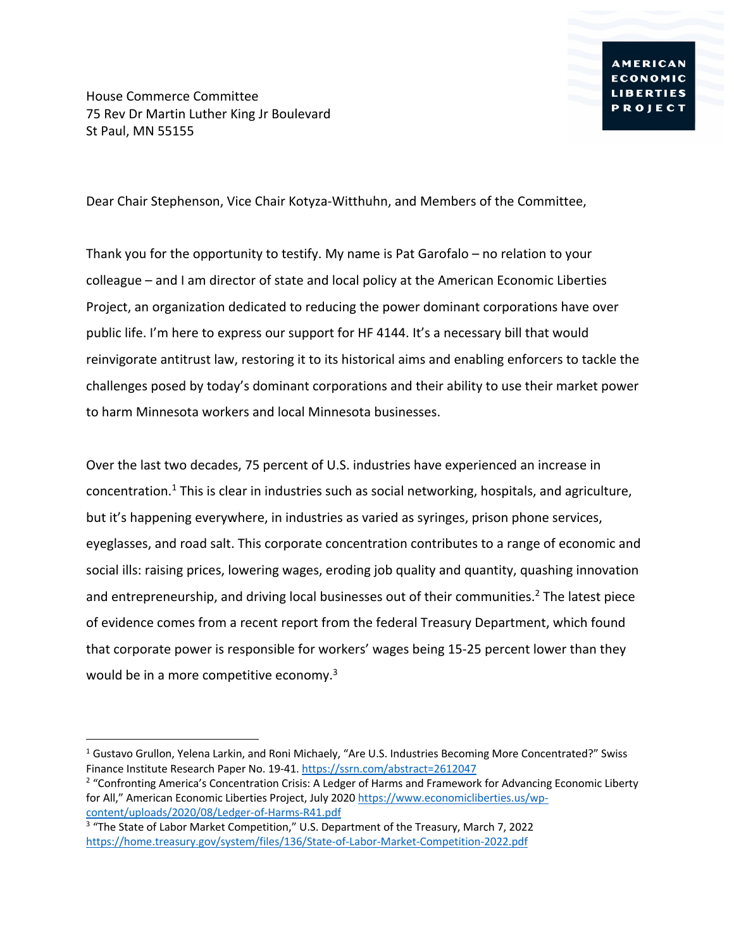House Commerce Committee 75 Rev Dr Martin Luther King Jr Boulevard St Paul, MN 55155

Dear Chair Stephenson, Vice Chair Kotyza-Witthuhn, and Members of the Committee,

Thank you for the opportunity to testify. My name is Pat Garofalo – no relation to your colleague – and I am director of state and local policy at the American Economic Liberties Project, an organization dedicated to reducing the power dominant corporations have over public life. I'm here to express our support for HF 4144. It's a necessary bill that would reinvigorate antitrust law, restoring it to its historical aims and enabling enforcers to tackle the challenges posed by today's dominant corporations and their ability to use their market power to harm Minnesota workers and local Minnesota businesses.

Over the last two decades, 75 percent of U.S. industries have experienced an increase in concentration.<sup>1</sup> This is clear in industries such as social networking, hospitals, and agriculture, but it's happening everywhere, in industries as varied as syringes, prison phone services, eyeglasses, and road salt. This corporate concentration contributes to a range of economic and social ills: raising prices, lowering wages, eroding job quality and quantity, quashing innovation and entrepreneurship, and driving local businesses out of their communities.<sup>2</sup> The latest piece of evidence comes from a recent report from the federal Treasury Department, which found that corporate power is responsible for workers' wages being 15-25 percent lower than they would be in a more competitive economy. $3$ 

 $1$  Gustavo Grullon, Yelena Larkin, and Roni Michaely, "Are U.S. Industries Becoming More Concentrated?" Swiss Finance Institute Research Paper No. 19-41. https://ssrn.com/abstract=2612047

<sup>&</sup>lt;sup>2</sup> "Confronting America's Concentration Crisis: A Ledger of Harms and Framework for Advancing Economic Liberty for All," American Economic Liberties Project, July 2020 https://www.economicliberties.us/wpcontent/uploads/2020/08/Ledger-of-Harms-R41.pdf

<sup>&</sup>lt;sup>3</sup> "The State of Labor Market Competition," U.S. Department of the Treasury, March 7, 2022 https://home.treasury.gov/system/files/136/State-of-Labor-Market-Competition-2022.pdf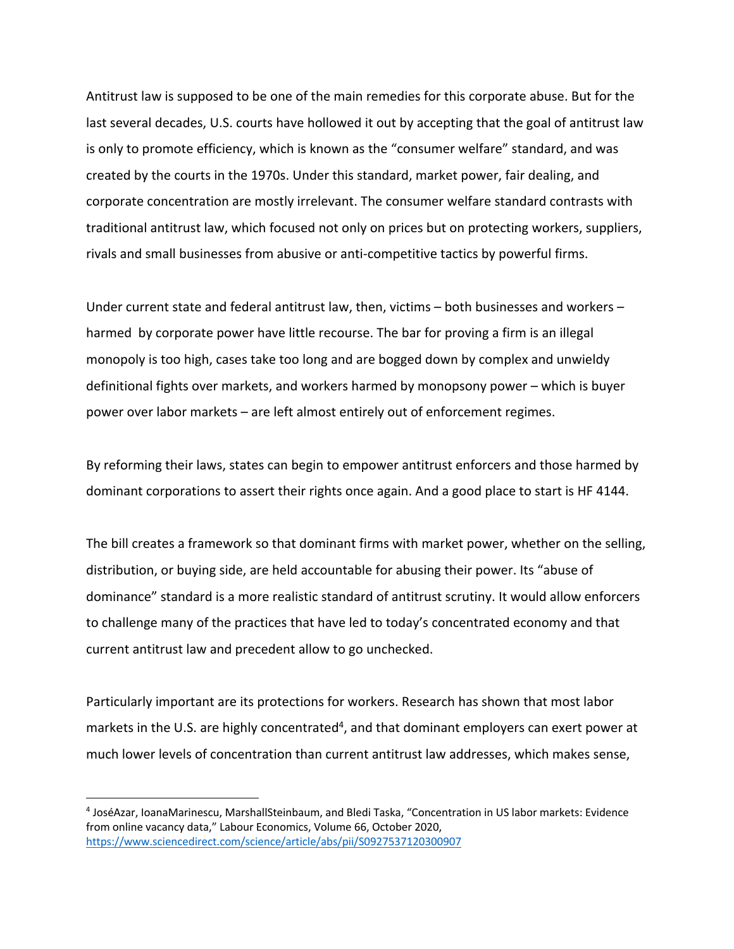Antitrust law is supposed to be one of the main remedies for this corporate abuse. But for the last several decades, U.S. courts have hollowed it out by accepting that the goal of antitrust law is only to promote efficiency, which is known as the "consumer welfare" standard, and was created by the courts in the 1970s. Under this standard, market power, fair dealing, and corporate concentration are mostly irrelevant. The consumer welfare standard contrasts with traditional antitrust law, which focused not only on prices but on protecting workers, suppliers, rivals and small businesses from abusive or anti-competitive tactics by powerful firms.

Under current state and federal antitrust law, then, victims – both businesses and workers – harmed by corporate power have little recourse. The bar for proving a firm is an illegal monopoly is too high, cases take too long and are bogged down by complex and unwieldy definitional fights over markets, and workers harmed by monopsony power – which is buyer power over labor markets – are left almost entirely out of enforcement regimes.

By reforming their laws, states can begin to empower antitrust enforcers and those harmed by dominant corporations to assert their rights once again. And a good place to start is HF 4144.

The bill creates a framework so that dominant firms with market power, whether on the selling, distribution, or buying side, are held accountable for abusing their power. Its "abuse of dominance" standard is a more realistic standard of antitrust scrutiny. It would allow enforcers to challenge many of the practices that have led to today's concentrated economy and that current antitrust law and precedent allow to go unchecked.

Particularly important are its protections for workers. Research has shown that most labor markets in the U.S. are highly concentrated<sup>4</sup>, and that dominant employers can exert power at much lower levels of concentration than current antitrust law addresses, which makes sense,

<sup>4</sup> JoséAzar, IoanaMarinescu, MarshallSteinbaum, and Bledi Taska, "Concentration in US labor markets: Evidence from online vacancy data," Labour Economics, Volume 66, October 2020, https://www.sciencedirect.com/science/article/abs/pii/S0927537120300907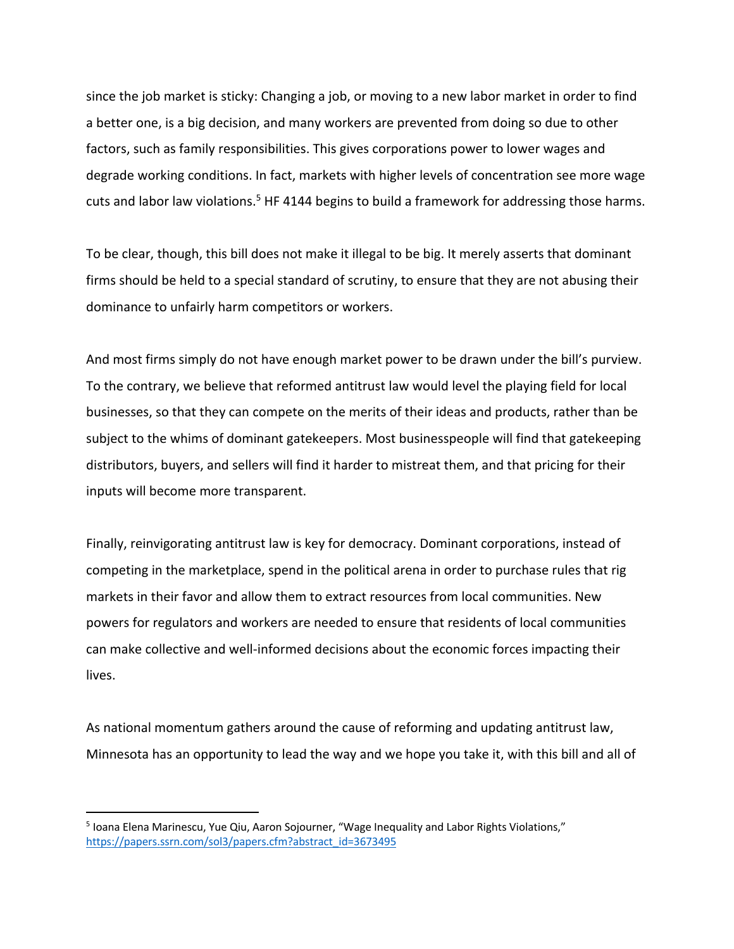since the job market is sticky: Changing a job, or moving to a new labor market in order to find a better one, is a big decision, and many workers are prevented from doing so due to other factors, such as family responsibilities. This gives corporations power to lower wages and degrade working conditions. In fact, markets with higher levels of concentration see more wage cuts and labor law violations.<sup>5</sup> HF 4144 begins to build a framework for addressing those harms.

To be clear, though, this bill does not make it illegal to be big. It merely asserts that dominant firms should be held to a special standard of scrutiny, to ensure that they are not abusing their dominance to unfairly harm competitors or workers.

And most firms simply do not have enough market power to be drawn under the bill's purview. To the contrary, we believe that reformed antitrust law would level the playing field for local businesses, so that they can compete on the merits of their ideas and products, rather than be subject to the whims of dominant gatekeepers. Most businesspeople will find that gatekeeping distributors, buyers, and sellers will find it harder to mistreat them, and that pricing for their inputs will become more transparent.

Finally, reinvigorating antitrust law is key for democracy. Dominant corporations, instead of competing in the marketplace, spend in the political arena in order to purchase rules that rig markets in their favor and allow them to extract resources from local communities. New powers for regulators and workers are needed to ensure that residents of local communities can make collective and well-informed decisions about the economic forces impacting their lives.

As national momentum gathers around the cause of reforming and updating antitrust law, Minnesota has an opportunity to lead the way and we hope you take it, with this bill and all of

<sup>&</sup>lt;sup>5</sup> Ioana Elena Marinescu, Yue Qiu, Aaron Sojourner, "Wage Inequality and Labor Rights Violations," https://papers.ssrn.com/sol3/papers.cfm?abstract\_id=3673495